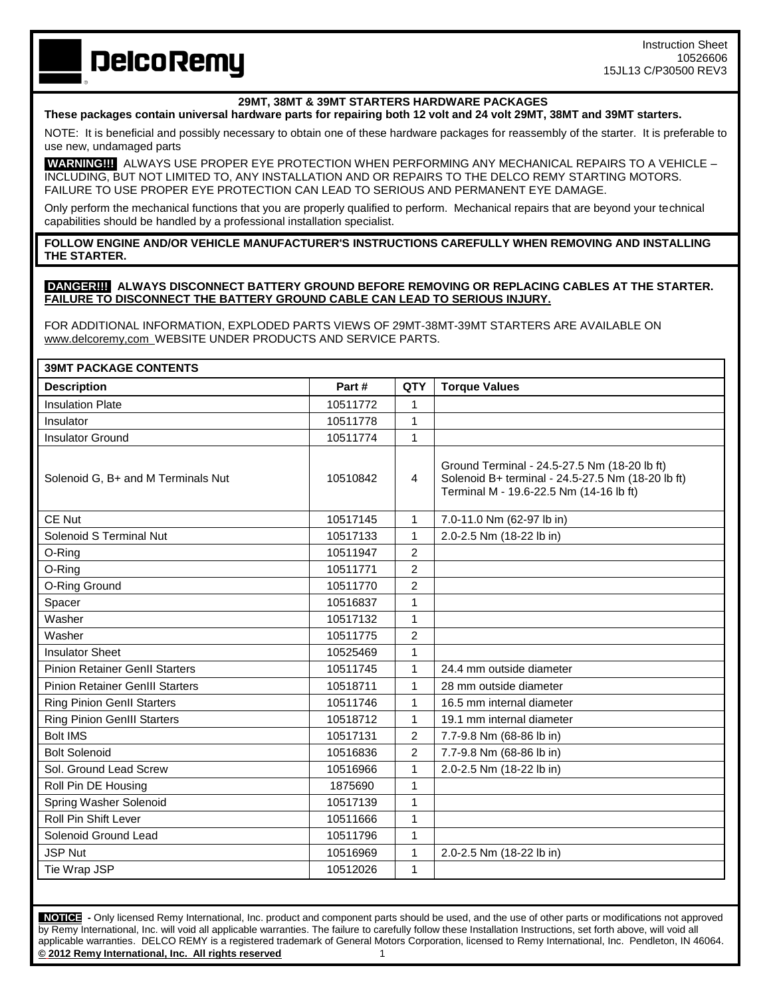# **DelcoRemy**

## **29MT, 38MT & 39MT STARTERS HARDWARE PACKAGES**

#### **These packages contain universal hardware parts for repairing both 12 volt and 24 volt 29MT, 38MT and 39MT starters.**

NOTE: It is beneficial and possibly necessary to obtain one of these hardware packages for reassembly of the starter. It is preferable to use new, undamaged parts

**WARNING!!!** ALWAYS USE PROPER EYE PROTECTION WHEN PERFORMING ANY MECHANICAL REPAIRS TO A VEHICLE – INCLUDING, BUT NOT LIMITED TO, ANY INSTALLATION AND OR REPAIRS TO THE DELCO REMY STARTING MOTORS. FAILURE TO USE PROPER EYE PROTECTION CAN LEAD TO SERIOUS AND PERMANENT EYE DAMAGE.

Only perform the mechanical functions that you are properly qualified to perform. Mechanical repairs that are beyond your technical capabilities should be handled by a professional installation specialist.

### **FOLLOW ENGINE AND/OR VEHICLE MANUFACTURER'S INSTRUCTIONS CAREFULLY WHEN REMOVING AND INSTALLING THE STARTER.**

#### **DANGER!!! ALWAYS DISCONNECT BATTERY GROUND BEFORE REMOVING OR REPLACING CABLES AT THE STARTER. FAILURE TO DISCONNECT THE BATTERY GROUND CABLE CAN LEAD TO SERIOUS INJURY.**

FOR ADDITIONAL INFORMATION, EXPLODED PARTS VIEWS OF 29MT-38MT-39MT STARTERS ARE AVAILABLE ON www.delcoremy,com WEBSITE UNDER PRODUCTS AND SERVICE PARTS.

| <b>39MT PACKAGE CONTENTS</b>           |          |                |                                                                                                                                              |  |  |
|----------------------------------------|----------|----------------|----------------------------------------------------------------------------------------------------------------------------------------------|--|--|
| <b>Description</b>                     | Part#    | <b>QTY</b>     | <b>Torque Values</b>                                                                                                                         |  |  |
| <b>Insulation Plate</b>                | 10511772 | $\mathbf{1}$   |                                                                                                                                              |  |  |
| Insulator                              | 10511778 | 1              |                                                                                                                                              |  |  |
| <b>Insulator Ground</b>                | 10511774 | $\mathbf{1}$   |                                                                                                                                              |  |  |
| Solenoid G, B+ and M Terminals Nut     | 10510842 | $\overline{4}$ | Ground Terminal - 24.5-27.5 Nm (18-20 lb ft)<br>Solenoid B+ terminal - 24.5-27.5 Nm (18-20 lb ft)<br>Terminal M - 19.6-22.5 Nm (14-16 lb ft) |  |  |
| CE Nut                                 | 10517145 | $\mathbf{1}$   | 7.0-11.0 Nm (62-97 lb in)                                                                                                                    |  |  |
| Solenoid S Terminal Nut                | 10517133 | 1              | 2.0-2.5 Nm (18-22 lb in)                                                                                                                     |  |  |
| O-Ring                                 | 10511947 | 2              |                                                                                                                                              |  |  |
| O-Ring                                 | 10511771 | $\overline{c}$ |                                                                                                                                              |  |  |
| O-Ring Ground                          | 10511770 | $\overline{2}$ |                                                                                                                                              |  |  |
| Spacer                                 | 10516837 | $\mathbf{1}$   |                                                                                                                                              |  |  |
| Washer                                 | 10517132 | 1              |                                                                                                                                              |  |  |
| Washer                                 | 10511775 | $\overline{2}$ |                                                                                                                                              |  |  |
| <b>Insulator Sheet</b>                 | 10525469 | 1              |                                                                                                                                              |  |  |
| <b>Pinion Retainer GenII Starters</b>  | 10511745 | 1              | 24.4 mm outside diameter                                                                                                                     |  |  |
| <b>Pinion Retainer GenIII Starters</b> | 10518711 | 1              | 28 mm outside diameter                                                                                                                       |  |  |
| <b>Ring Pinion GenII Starters</b>      | 10511746 | 1              | 16.5 mm internal diameter                                                                                                                    |  |  |
| <b>Ring Pinion GenIII Starters</b>     | 10518712 | 1              | 19.1 mm internal diameter                                                                                                                    |  |  |
| <b>Bolt IMS</b>                        | 10517131 | $\overline{c}$ | 7.7-9.8 Nm (68-86 lb in)                                                                                                                     |  |  |
| <b>Bolt Solenoid</b>                   | 10516836 | $\overline{2}$ | 7.7-9.8 Nm (68-86 lb in)                                                                                                                     |  |  |
| Sol. Ground Lead Screw                 | 10516966 | 1              | 2.0-2.5 Nm (18-22 lb in)                                                                                                                     |  |  |
| Roll Pin DE Housing                    | 1875690  | 1              |                                                                                                                                              |  |  |
| Spring Washer Solenoid                 | 10517139 | 1              |                                                                                                                                              |  |  |
| <b>Roll Pin Shift Lever</b>            | 10511666 | 1              |                                                                                                                                              |  |  |
| Solenoid Ground Lead                   | 10511796 | 1              |                                                                                                                                              |  |  |
| <b>JSP Nut</b>                         | 10516969 | 1              | 2.0-2.5 Nm (18-22 lb in)                                                                                                                     |  |  |
| Tie Wrap JSP                           | 10512026 | 1              |                                                                                                                                              |  |  |

 **NOTICE -** Only licensed Remy International, Inc. product and component parts should be used, and the use of other parts or modifications not approved by Remy International, Inc. will void all applicable warranties. The failure to carefully follow these Installation Instructions, set forth above, will void all applicable warranties. DELCO REMY is a registered trademark of General Motors Corporation, licensed to Remy International, Inc. Pendleton, IN 46064. **© 2012 Remy International, Inc. All rights reserved** 1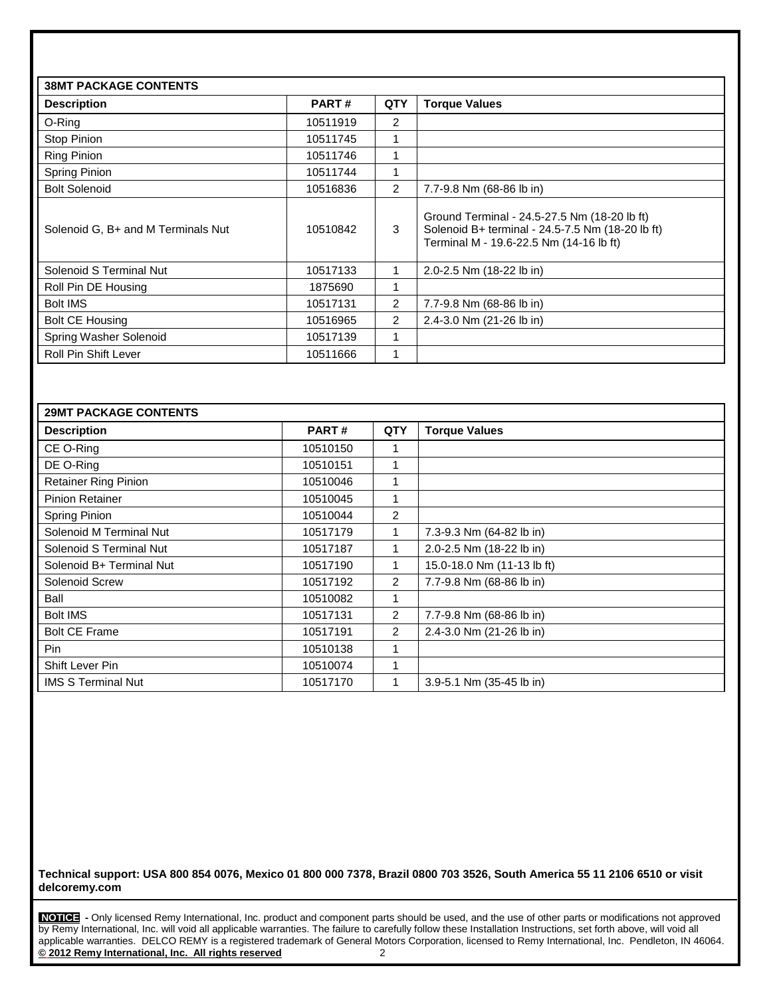| <b>38MT PACKAGE CONTENTS</b>       |          |                |                                                                                                                                             |  |
|------------------------------------|----------|----------------|---------------------------------------------------------------------------------------------------------------------------------------------|--|
| <b>Description</b>                 | PART#    | QTY            | <b>Torque Values</b>                                                                                                                        |  |
| O-Ring                             | 10511919 | $\overline{2}$ |                                                                                                                                             |  |
| Stop Pinion                        | 10511745 | 1              |                                                                                                                                             |  |
| <b>Ring Pinion</b>                 | 10511746 | 1              |                                                                                                                                             |  |
| Spring Pinion                      | 10511744 | 1              |                                                                                                                                             |  |
| <b>Bolt Solenoid</b>               | 10516836 | $\overline{2}$ | 7.7-9.8 Nm (68-86 lb in)                                                                                                                    |  |
| Solenoid G, B+ and M Terminals Nut | 10510842 | 3              | Ground Terminal - 24.5-27.5 Nm (18-20 lb ft)<br>Solenoid B+ terminal - 24.5-7.5 Nm (18-20 lb ft)<br>Terminal M - 19.6-22.5 Nm (14-16 lb ft) |  |
| Solenoid S Terminal Nut            | 10517133 | 1              | 2.0-2.5 Nm (18-22 lb in)                                                                                                                    |  |
| Roll Pin DE Housing                | 1875690  | 1              |                                                                                                                                             |  |
| <b>Bolt IMS</b>                    | 10517131 | 2              | 7.7-9.8 Nm (68-86 lb in)                                                                                                                    |  |
| <b>Bolt CE Housing</b>             | 10516965 | $\overline{2}$ | 2.4-3.0 Nm (21-26 lb in)                                                                                                                    |  |
| Spring Washer Solenoid             | 10517139 | 1              |                                                                                                                                             |  |
| Roll Pin Shift Lever               | 10511666 | 1              |                                                                                                                                             |  |

| <b>29MT PACKAGE CONTENTS</b> |          |                |                            |  |
|------------------------------|----------|----------------|----------------------------|--|
| <b>Description</b>           | PART#    | <b>QTY</b>     | <b>Torque Values</b>       |  |
| CE O-Ring                    | 10510150 |                |                            |  |
| DE O-Ring                    | 10510151 |                |                            |  |
| <b>Retainer Ring Pinion</b>  | 10510046 |                |                            |  |
| <b>Pinion Retainer</b>       | 10510045 |                |                            |  |
| Spring Pinion                | 10510044 | $\overline{2}$ |                            |  |
| Solenoid M Terminal Nut      | 10517179 |                | 7.3-9.3 Nm (64-82 lb in)   |  |
| Solenoid S Terminal Nut      | 10517187 |                | 2.0-2.5 Nm (18-22 lb in)   |  |
| Solenoid B+ Terminal Nut     | 10517190 |                | 15.0-18.0 Nm (11-13 lb ft) |  |
| Solenoid Screw               | 10517192 | $\overline{2}$ | 7.7-9.8 Nm (68-86 lb in)   |  |
| Ball                         | 10510082 |                |                            |  |
| <b>Bolt IMS</b>              | 10517131 | 2              | 7.7-9.8 Nm (68-86 lb in)   |  |
| <b>Bolt CE Frame</b>         | 10517191 | $\overline{2}$ | 2.4-3.0 Nm (21-26 lb in)   |  |
| Pin                          | 10510138 |                |                            |  |
| Shift Lever Pin              | 10510074 |                |                            |  |
| <b>IMS S Terminal Nut</b>    | 10517170 |                | 3.9-5.1 Nm (35-45 lb in)   |  |

**Technical support: USA 800 854 0076, Mexico 01 800 000 7378, Brazil 0800 703 3526, South America 55 11 2106 6510 or visit delcoremy.com**

**NOTICE -** Only licensed Remy International, Inc. product and component parts should be used, and the use of other parts or modifications not approved by Remy International, Inc. will void all applicable warranties. The failure to carefully follow these Installation Instructions, set forth above, will void all applicable warranties. DELCO REMY is a registered trademark of General Motors Corporation, licensed to Remy International, Inc. Pendleton, IN 46064. **© 2012 Remy International, Inc. All rights reserved** 2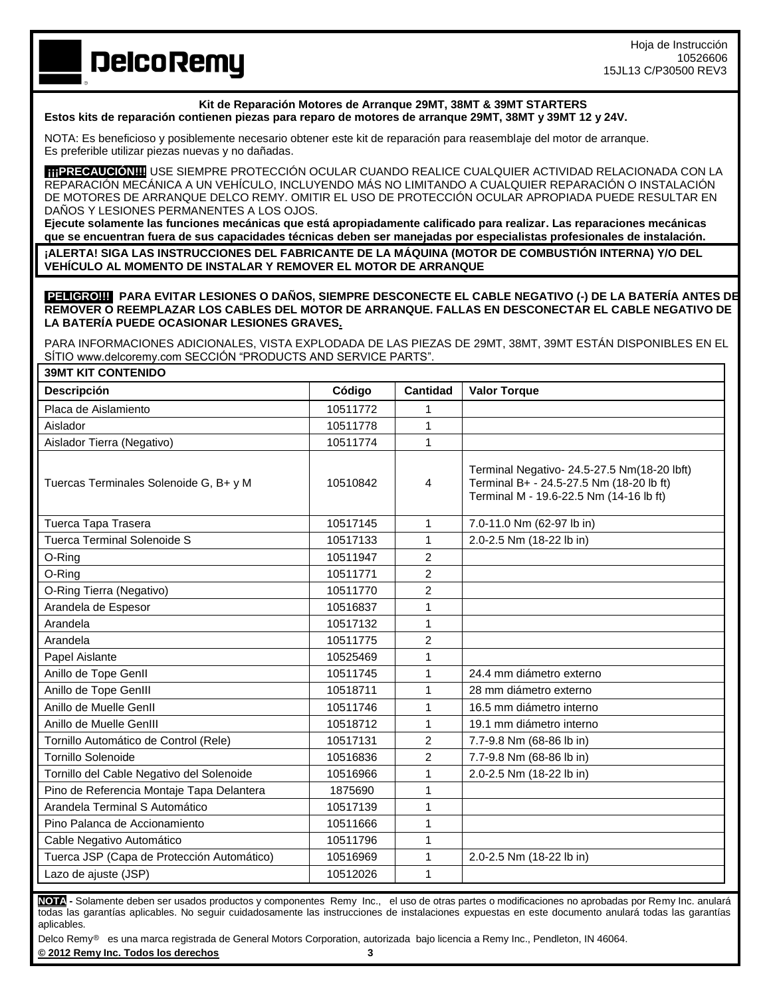**DelcoRemy** 

# **Kit de Reparación Motores de Arranque 29MT, 38MT & 39MT STARTERS**

**Estos kits de reparación contienen piezas para reparo de motores de arranque 29MT, 38MT y 39MT 12 y 24V.**

NOTA: Es beneficioso y posiblemente necesario obtener este kit de reparación para reasemblaje del motor de arranque. Es preferible utilizar piezas nuevas y no dañadas.

**¡¡¡PRECAUCIÓN!!!!**USE SIEMPRE PROTECCIÓN OCULAR CUANDO REALICE CUALQUIER ACTIVIDAD RELACIONADA CON LA REPARACIÓN MECÁNICA A UN VEHÍCULO, INCLUYENDO MÁS NO LIMITANDO A CUALQUIER REPARACIÓN O INSTALACIÓN DE MOTORES DE ARRANQUE DELCO REMY. OMITIR EL USO DE PROTECCIÓN OCULAR APROPIADA PUEDE RESULTAR EN DAÑOS Y LESIONES PERMANENTES A LOS OJOS.

**Ejecute solamente las funciones mecánicas que está apropiadamente calificado para realizar. Las reparaciones mecánicas que se encuentran fuera de sus capacidades técnicas deben ser manejadas por especialistas profesionales de instalación.**

**¡ALERTA! SIGA LAS INSTRUCCIONES DEL FABRICANTE DE LA MÁQUINA (MOTOR DE COMBUSTIÓN INTERNA) Y/O DEL VEHÍCULO AL MOMENTO DE INSTALAR Y REMOVER EL MOTOR DE ARRANQUE**

**PELIGRO!!! PARA EVITAR LESIONES O DAÑOS, SIEMPRE DESCONECTE EL CABLE NEGATIVO (-) DE LA BATERÍA ANTES DE REMOVER O REEMPLAZAR LOS CABLES DEL MOTOR DE ARRANQUE. FALLAS EN DESCONECTAR EL CABLE NEGATIVO DE LA BATERÍA PUEDE OCASIONAR LESIONES GRAVES.**

PARA INFORMACIONES ADICIONALES, VISTA EXPLODADA DE LAS PIEZAS DE 29MT, 38MT, 39MT ESTÁN DISPONIBLES EN EL SÍTIO www.delcoremy.com SECCIÓN "PRODUCTS AND SERVICE PARTS".

| <b>39MT KIT CONTENIDO</b>                  |          |                 |                                                                                                                                    |  |
|--------------------------------------------|----------|-----------------|------------------------------------------------------------------------------------------------------------------------------------|--|
| <b>Descripción</b>                         | Código   | <b>Cantidad</b> | <b>Valor Torque</b>                                                                                                                |  |
| Placa de Aislamiento                       | 10511772 | 1               |                                                                                                                                    |  |
| Aislador                                   | 10511778 | 1               |                                                                                                                                    |  |
| Aislador Tierra (Negativo)                 | 10511774 | $\mathbf{1}$    |                                                                                                                                    |  |
| Tuercas Terminales Solenoide G, B+ y M     | 10510842 | 4               | Terminal Negativo- 24.5-27.5 Nm(18-20 lbft)<br>Terminal B+ - 24.5-27.5 Nm (18-20 lb ft)<br>Terminal M - 19.6-22.5 Nm (14-16 lb ft) |  |
| Tuerca Tapa Trasera                        | 10517145 | 1               | 7.0-11.0 Nm (62-97 lb in)                                                                                                          |  |
| <b>Tuerca Terminal Solenoide S</b>         | 10517133 | $\mathbf{1}$    | 2.0-2.5 Nm (18-22 lb in)                                                                                                           |  |
| O-Ring                                     | 10511947 | $\overline{2}$  |                                                                                                                                    |  |
| O-Ring                                     | 10511771 | 2               |                                                                                                                                    |  |
| O-Ring Tierra (Negativo)                   | 10511770 | $\overline{c}$  |                                                                                                                                    |  |
| Arandela de Espesor                        | 10516837 | 1               |                                                                                                                                    |  |
| Arandela                                   | 10517132 | $\mathbf{1}$    |                                                                                                                                    |  |
| Arandela                                   | 10511775 | 2               |                                                                                                                                    |  |
| Papel Aislante                             | 10525469 | 1               |                                                                                                                                    |  |
| Anillo de Tope Genll                       | 10511745 | 1               | 24.4 mm diámetro externo                                                                                                           |  |
| Anillo de Tope GenIII                      | 10518711 | 1               | 28 mm diámetro externo                                                                                                             |  |
| Anillo de Muelle Genll                     | 10511746 | $\mathbf 1$     | 16.5 mm diámetro interno                                                                                                           |  |
| Anillo de Muelle GenIII                    | 10518712 | 1               | 19.1 mm diámetro interno                                                                                                           |  |
| Tornillo Automático de Control (Rele)      | 10517131 | 2               | 7.7-9.8 Nm (68-86 lb in)                                                                                                           |  |
| <b>Tornillo Solenoide</b>                  | 10516836 | $\overline{c}$  | 7.7-9.8 Nm (68-86 lb in)                                                                                                           |  |
| Tornillo del Cable Negativo del Solenoide  | 10516966 | $\mathbf{1}$    | 2.0-2.5 Nm (18-22 lb in)                                                                                                           |  |
| Pino de Referencia Montaje Tapa Delantera  | 1875690  | $\mathbf 1$     |                                                                                                                                    |  |
| Arandela Terminal S Automático             | 10517139 | 1               |                                                                                                                                    |  |
| Pino Palanca de Accionamiento              | 10511666 | $\mathbf{1}$    |                                                                                                                                    |  |
| Cable Negativo Automático                  | 10511796 | $\mathbf{1}$    |                                                                                                                                    |  |
| Tuerca JSP (Capa de Protección Automático) | 10516969 | $\mathbf 1$     | 2.0-2.5 Nm (18-22 lb in)                                                                                                           |  |
| Lazo de ajuste (JSP)                       | 10512026 | 1               |                                                                                                                                    |  |

**NOTA -** Solamente deben ser usados productos y componentes Remy Inc., el uso de otras partes o modificaciones no aprobadas por Remy Inc. anulará todas las garantías aplicables. No seguir cuidadosamente las instrucciones de instalaciones expuestas en este documento anulará todas las garantías aplicables.

Delco Remy<sup>®</sup> es una marca registrada de General Motors Corporation, autorizada bajo licencia a Remy Inc., Pendleton, IN 46064.

**© 2012 Remy Inc. Todos los derechos 3**